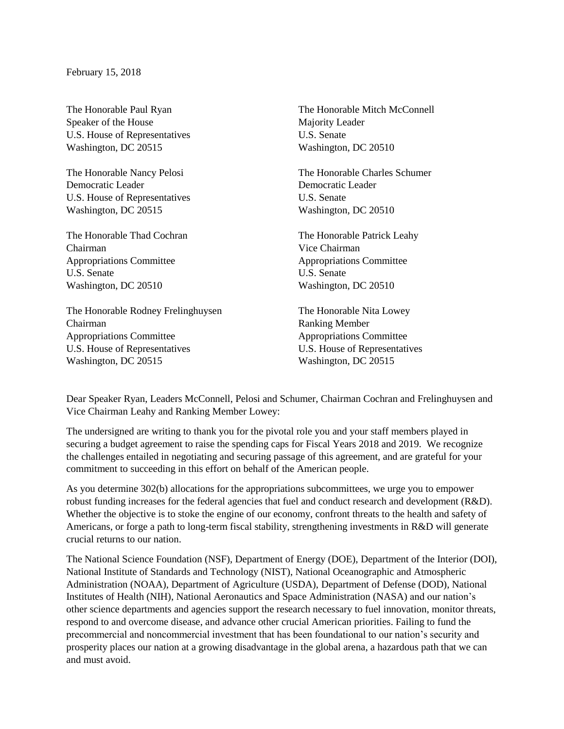Speaker of the House Majority Leader U.S. House of Representatives U.S. Senate Washington, DC 20515 Washington, DC 20510

Democratic Leader Democratic Leader U.S. House of Representatives U.S. Senate Washington, DC 20515 Washington, DC 20510

Chairman Vice Chairman Appropriations Committee Appropriations Committee U.S. Senate U.S. Senate Washington, DC 20510 Washington, DC 20510

The Honorable Rodney Frelinghuysen The Honorable Nita Lowey Chairman Ranking Member Appropriations Committee Appropriations Committee U.S. House of Representatives U.S. House of Representatives Washington, DC 20515 Washington, DC 20515

The Honorable Paul Ryan The Honorable Mitch McConnell

The Honorable Nancy Pelosi The Honorable Charles Schumer

The Honorable Thad Cochran The Honorable Patrick Leahy

Dear Speaker Ryan, Leaders McConnell, Pelosi and Schumer, Chairman Cochran and Frelinghuysen and Vice Chairman Leahy and Ranking Member Lowey:

The undersigned are writing to thank you for the pivotal role you and your staff members played in securing a budget agreement to raise the spending caps for Fiscal Years 2018 and 2019. We recognize the challenges entailed in negotiating and securing passage of this agreement, and are grateful for your commitment to succeeding in this effort on behalf of the American people.

As you determine 302(b) allocations for the appropriations subcommittees, we urge you to empower robust funding increases for the federal agencies that fuel and conduct research and development (R&D). Whether the objective is to stoke the engine of our economy, confront threats to the health and safety of Americans, or forge a path to long-term fiscal stability, strengthening investments in R&D will generate crucial returns to our nation.

The National Science Foundation (NSF), Department of Energy (DOE), Department of the Interior (DOI), National Institute of Standards and Technology (NIST), National Oceanographic and Atmospheric Administration (NOAA), Department of Agriculture (USDA), Department of Defense (DOD), National Institutes of Health (NIH), National Aeronautics and Space Administration (NASA) and our nation's other science departments and agencies support the research necessary to fuel innovation, monitor threats, respond to and overcome disease, and advance other crucial American priorities. Failing to fund the precommercial and noncommercial investment that has been foundational to our nation's security and prosperity places our nation at a growing disadvantage in the global arena, a hazardous path that we can and must avoid.